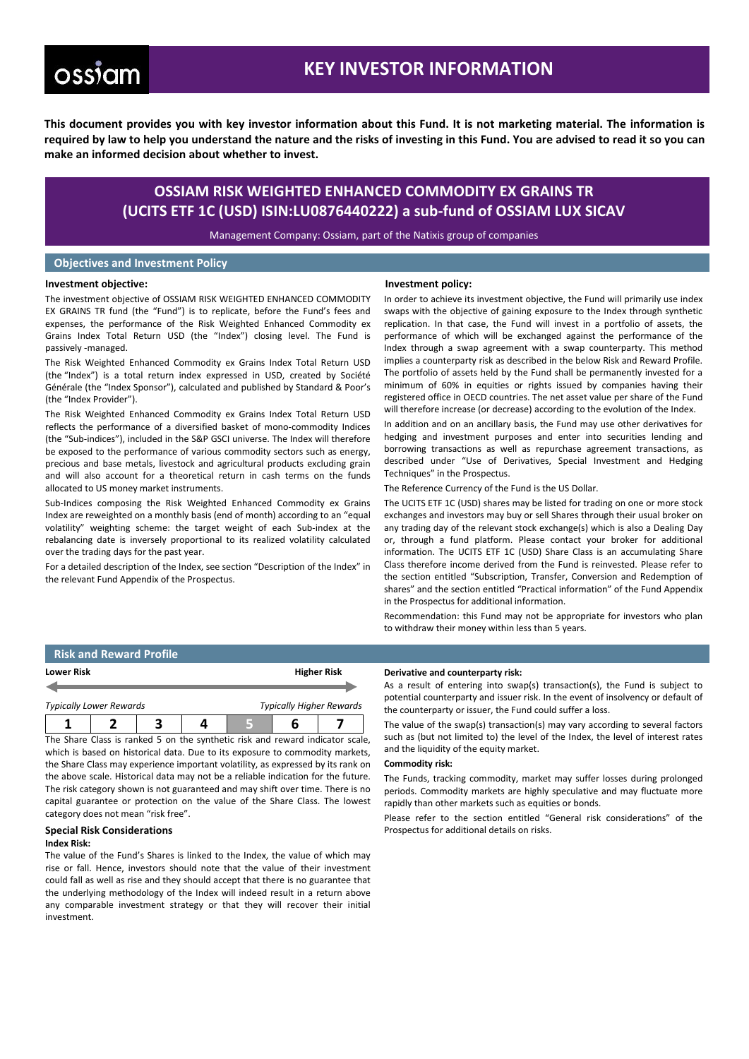# ossiam

**Investment objective:**

## **KEY INVESTOR INFORMATION**

**This document provides you with key investor information about this Fund. It is not marketing material. The information is required by law to help you understand the nature and the risks of investing in this Fund. You are advised to read it so you can make an informed decision about whether to invest.**

### **OSSIAM RISK WEIGHTED ENHANCED COMMODITY EX GRAINS TR (UCITS ETF 1C (USD) ISIN:LU0876440222) a sub-fund of OSSIAM LUX SICAV**

Management Company: Ossiam, part of the Natixis group of companies

#### **Objectives and Investment Policy**

#### **Investment policy:**

The investment objective of OSSIAM RISK WEIGHTED ENHANCED COMMODITY EX GRAINS TR fund (the "Fund") is to replicate, before the Fund's fees and expenses, the performance of the Risk Weighted Enhanced Commodity ex Grains Index Total Return USD (the "Index") closing level. The Fund is passively -managed.

The Risk Weighted Enhanced Commodity ex Grains Index Total Return USD (the "Index") is a total return index expressed in USD, created by Société Générale (the "Index Sponsor"), calculated and published by Standard & Poor's (the "Index Provider").

The Risk Weighted Enhanced Commodity ex Grains Index Total Return USD reflects the performance of a diversified basket of mono-commodity Indices (the "Sub-indices"), included in the S&P GSCI universe. The Index will therefore be exposed to the performance of various commodity sectors such as energy, precious and base metals, livestock and agricultural products excluding grain and will also account for a theoretical return in cash terms on the funds allocated to US money market instruments.

Sub-Indices composing the Risk Weighted Enhanced Commodity ex Grains Index are reweighted on a monthly basis (end of month) according to an "equal volatility" weighting scheme: the target weight of each Sub-index at the rebalancing date is inversely proportional to its realized volatility calculated over the trading days for the past year.

For a detailed description of the Index, see section "Description of the Index" in the relevant Fund Appendix of the Prospectus.

In order to achieve its investment objective, the Fund will primarily use index swaps with the objective of gaining exposure to the Index through synthetic replication. In that case, the Fund will invest in a portfolio of assets, the performance of which will be exchanged against the performance of the Index through a swap agreement with a swap counterparty. This method implies a counterparty risk as described in the below Risk and Reward Profile. The portfolio of assets held by the Fund shall be permanently invested for a minimum of 60% in equities or rights issued by companies having their registered office in OECD countries. The net asset value per share of the Fund will therefore increase (or decrease) according to the evolution of the Index.

In addition and on an ancillary basis, the Fund may use other derivatives for hedging and investment purposes and enter into securities lending and borrowing transactions as well as repurchase agreement transactions, as described under "Use of Derivatives, Special Investment and Hedging Techniques" in the Prospectus.

The Reference Currency of the Fund is the US Dollar.

The UCITS ETF 1C (USD) shares may be listed for trading on one or more stock exchanges and investors may buy or sell Shares through their usual broker on any trading day of the relevant stock exchange(s) which is also a Dealing Day or, through a fund platform. Please contact your broker for additional information. The UCITS ETF 1C (USD) Share Class is an accumulating Share Class therefore income derived from the Fund is reinvested. Please refer to the section entitled "Subscription, Transfer, Conversion and Redemption of shares" and the section entitled "Practical information" of the Fund Appendix in the Prospectus for additional information.

Recommendation: this Fund may not be appropriate for investors who plan to withdraw their money within less than 5 years.

### **Risk and Reward Profile**

| <b>Lower Risk</b>                                                 |  |  |  | <b>Higher Risk</b> |  |  |
|-------------------------------------------------------------------|--|--|--|--------------------|--|--|
| <b>Typically Higher Rewards</b><br><b>Typically Lower Rewards</b> |  |  |  |                    |  |  |
|                                                                   |  |  |  |                    |  |  |

The Share Class is ranked 5 on the synthetic risk and reward indicator scale, which is based on historical data. Due to its exposure to commodity markets, the Share Class may experience important volatility, as expressed by its rank on the above scale. Historical data may not be a reliable indication for the future. The risk category shown is not guaranteed and may shift over time. There is no capital guarantee or protection on the value of the Share Class. The lowest category does not mean "risk free".

#### **Special Risk Considerations**

#### **Index Risk:**

The value of the Fund's Shares is linked to the Index, the value of which may rise or fall. Hence, investors should note that the value of their investment could fall as well as rise and they should accept that there is no guarantee that the underlying methodology of the Index will indeed result in a return above any comparable investment strategy or that they will recover their initial investment.

#### **Derivative and counterparty risk:**

As a result of entering into swap(s) transaction(s), the Fund is subject to potential counterparty and issuer risk. In the event of insolvency or default of the counterparty or issuer, the Fund could suffer a loss.

The value of the swap(s) transaction(s) may vary according to several factors such as (but not limited to) the level of the Index, the level of interest rates and the liquidity of the equity market.

#### **Commodity risk:**

The Funds, tracking commodity, market may suffer losses during prolonged periods. Commodity markets are highly speculative and may fluctuate more rapidly than other markets such as equities or bonds.

Please refer to the section entitled "General risk considerations" of the Prospectus for additional details on risks.